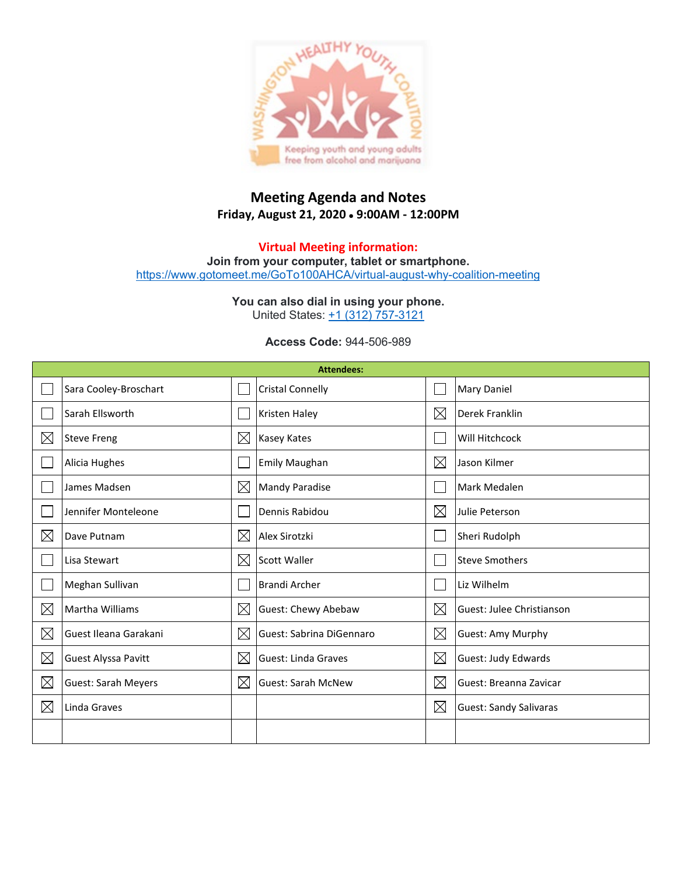

## **Meeting Agenda and Notes Friday, August 21, 2020** • **9:00AM - 12:00PM**

**Virtual Meeting information: Join from your computer, tablet or smartphone.** <https://www.gotomeet.me/GoTo100AHCA/virtual-august-why-coalition-meeting>

> **You can also dial in using your phone.** United States: [+1 \(312\) 757-3121](tel:+13127573121,,944506989)

> > **Access Code:** 944-506-989

| <b>Attendees:</b> |                            |             |                           |             |                               |  |  |  |
|-------------------|----------------------------|-------------|---------------------------|-------------|-------------------------------|--|--|--|
|                   | Sara Cooley-Broschart      |             | <b>Cristal Connelly</b>   |             | Mary Daniel                   |  |  |  |
|                   | Sarah Ellsworth            |             | <b>Kristen Haley</b>      |             | Derek Franklin                |  |  |  |
| $\boxtimes$       | <b>Steve Freng</b>         | $\boxtimes$ | <b>Kasey Kates</b>        |             | Will Hitchcock                |  |  |  |
|                   | Alicia Hughes              |             | Emily Maughan             |             | Jason Kilmer                  |  |  |  |
|                   | James Madsen               | $\boxtimes$ | <b>Mandy Paradise</b>     |             | Mark Medalen                  |  |  |  |
|                   | Jennifer Monteleone        |             | Dennis Rabidou            | $\boxtimes$ | Julie Peterson                |  |  |  |
| $\boxtimes$       | Dave Putnam                | $\times$    | Alex Sirotzki             |             | Sheri Rudolph                 |  |  |  |
|                   | Lisa Stewart               | $\times$    | <b>Scott Waller</b>       |             | <b>Steve Smothers</b>         |  |  |  |
|                   | Meghan Sullivan            |             | Brandi Archer             |             | Liz Wilhelm                   |  |  |  |
| $\boxtimes$       | Martha Williams            | $\boxtimes$ | Guest: Chewy Abebaw       | $\boxtimes$ | Guest: Julee Christianson     |  |  |  |
| $\boxtimes$       | Guest Ileana Garakani      | $\boxtimes$ | Guest: Sabrina DiGennaro  | $\boxtimes$ | Guest: Amy Murphy             |  |  |  |
| $\boxtimes$       | Guest Alyssa Pavitt        | $\times$    | Guest: Linda Graves       | $\boxtimes$ | Guest: Judy Edwards           |  |  |  |
| $\boxtimes$       | <b>Guest: Sarah Meyers</b> | $\boxtimes$ | <b>Guest: Sarah McNew</b> | $\boxtimes$ | Guest: Breanna Zavicar        |  |  |  |
| $\boxtimes$       | Linda Graves               |             |                           | $\boxtimes$ | <b>Guest: Sandy Salivaras</b> |  |  |  |
|                   |                            |             |                           |             |                               |  |  |  |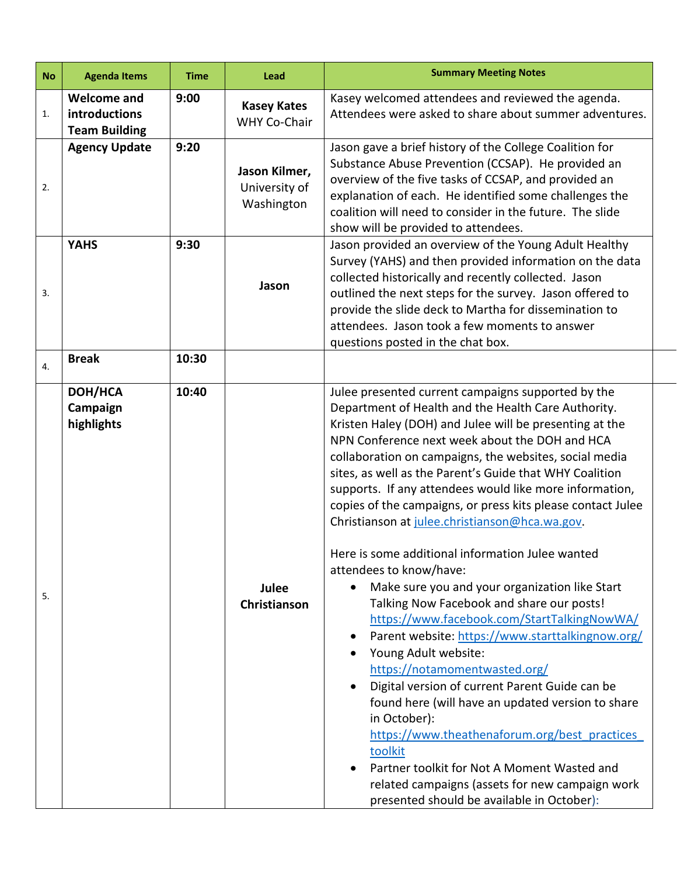| <b>No</b> | <b>Agenda Items</b>                                         | <b>Time</b> | Lead                                         | <b>Summary Meeting Notes</b>                                                                                                                                                                                                                                                                                                                                                                                                                                                                                                                                                                                                                                                                                                                                                                                                                                                                                                                                                                                                                                                                                                                                                                                                   |  |  |  |
|-----------|-------------------------------------------------------------|-------------|----------------------------------------------|--------------------------------------------------------------------------------------------------------------------------------------------------------------------------------------------------------------------------------------------------------------------------------------------------------------------------------------------------------------------------------------------------------------------------------------------------------------------------------------------------------------------------------------------------------------------------------------------------------------------------------------------------------------------------------------------------------------------------------------------------------------------------------------------------------------------------------------------------------------------------------------------------------------------------------------------------------------------------------------------------------------------------------------------------------------------------------------------------------------------------------------------------------------------------------------------------------------------------------|--|--|--|
| 1.        | <b>Welcome and</b><br>introductions<br><b>Team Building</b> | 9:00        | <b>Kasey Kates</b><br>WHY Co-Chair           | Kasey welcomed attendees and reviewed the agenda.<br>Attendees were asked to share about summer adventures.                                                                                                                                                                                                                                                                                                                                                                                                                                                                                                                                                                                                                                                                                                                                                                                                                                                                                                                                                                                                                                                                                                                    |  |  |  |
| 2.        | <b>Agency Update</b>                                        | 9:20        | Jason Kilmer,<br>University of<br>Washington | Jason gave a brief history of the College Coalition for<br>Substance Abuse Prevention (CCSAP). He provided an<br>overview of the five tasks of CCSAP, and provided an<br>explanation of each. He identified some challenges the<br>coalition will need to consider in the future. The slide<br>show will be provided to attendees.                                                                                                                                                                                                                                                                                                                                                                                                                                                                                                                                                                                                                                                                                                                                                                                                                                                                                             |  |  |  |
| 3.        | <b>YAHS</b>                                                 | 9:30        | Jason                                        | Jason provided an overview of the Young Adult Healthy<br>Survey (YAHS) and then provided information on the data<br>collected historically and recently collected. Jason<br>outlined the next steps for the survey. Jason offered to<br>provide the slide deck to Martha for dissemination to<br>attendees. Jason took a few moments to answer<br>questions posted in the chat box.                                                                                                                                                                                                                                                                                                                                                                                                                                                                                                                                                                                                                                                                                                                                                                                                                                            |  |  |  |
| 4.        | <b>Break</b>                                                | 10:30       |                                              |                                                                                                                                                                                                                                                                                                                                                                                                                                                                                                                                                                                                                                                                                                                                                                                                                                                                                                                                                                                                                                                                                                                                                                                                                                |  |  |  |
| 5.        | DOH/HCA<br>Campaign<br>highlights                           | 10:40       | Julee<br>Christianson                        | Julee presented current campaigns supported by the<br>Department of Health and the Health Care Authority.<br>Kristen Haley (DOH) and Julee will be presenting at the<br>NPN Conference next week about the DOH and HCA<br>collaboration on campaigns, the websites, social media<br>sites, as well as the Parent's Guide that WHY Coalition<br>supports. If any attendees would like more information,<br>copies of the campaigns, or press kits please contact Julee<br>Christianson at julee.christianson@hca.wa.gov.<br>Here is some additional information Julee wanted<br>attendees to know/have:<br>Make sure you and your organization like Start<br>Talking Now Facebook and share our posts!<br>https://www.facebook.com/StartTalkingNowWA/<br>Parent website: https://www.starttalkingnow.org/<br>$\bullet$<br>Young Adult website:<br>https://notamomentwasted.org/<br>Digital version of current Parent Guide can be<br>$\bullet$<br>found here (will have an updated version to share<br>in October):<br>https://www.theathenaforum.org/best practices<br>toolkit<br>Partner toolkit for Not A Moment Wasted and<br>related campaigns (assets for new campaign work<br>presented should be available in October): |  |  |  |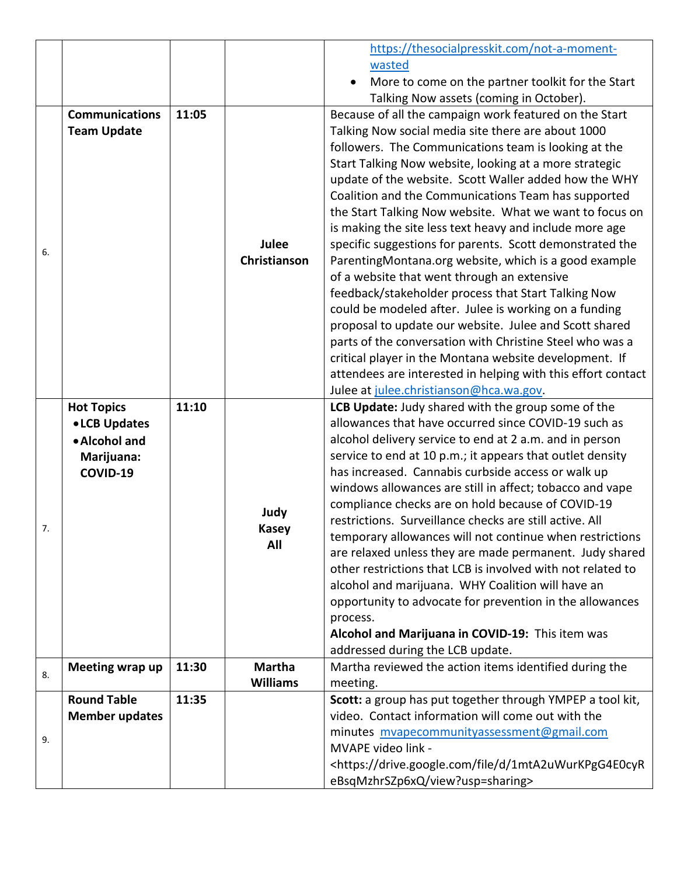|    |                                                     |       |                              | https://thesocialpresskit.com/not-a-moment-                                      |
|----|-----------------------------------------------------|-------|------------------------------|----------------------------------------------------------------------------------|
|    |                                                     |       |                              | wasted                                                                           |
|    |                                                     |       |                              | More to come on the partner toolkit for the Start                                |
|    |                                                     |       |                              | Talking Now assets (coming in October).                                          |
|    | <b>Communications</b>                               | 11:05 |                              | Because of all the campaign work featured on the Start                           |
|    | <b>Team Update</b>                                  |       |                              | Talking Now social media site there are about 1000                               |
|    |                                                     |       |                              | followers. The Communications team is looking at the                             |
|    |                                                     |       | <b>Julee</b><br>Christianson | Start Talking Now website, looking at a more strategic                           |
|    |                                                     |       |                              | update of the website. Scott Waller added how the WHY                            |
|    |                                                     |       |                              | Coalition and the Communications Team has supported                              |
|    |                                                     |       |                              | the Start Talking Now website. What we want to focus on                          |
|    |                                                     |       |                              | is making the site less text heavy and include more age                          |
| 6. |                                                     |       |                              | specific suggestions for parents. Scott demonstrated the                         |
|    |                                                     |       |                              | ParentingMontana.org website, which is a good example                            |
|    |                                                     |       |                              | of a website that went through an extensive                                      |
|    |                                                     |       |                              | feedback/stakeholder process that Start Talking Now                              |
|    |                                                     |       |                              | could be modeled after. Julee is working on a funding                            |
|    |                                                     |       |                              | proposal to update our website. Julee and Scott shared                           |
|    |                                                     |       |                              | parts of the conversation with Christine Steel who was a                         |
|    |                                                     |       |                              | critical player in the Montana website development. If                           |
|    |                                                     |       |                              | attendees are interested in helping with this effort contact                     |
|    |                                                     |       |                              | Julee at julee.christianson@hca.wa.gov.                                          |
|    | <b>Hot Topics</b><br>• LCB Updates<br>• Alcohol and | 11:10 |                              | LCB Update: Judy shared with the group some of the                               |
|    |                                                     |       |                              | allowances that have occurred since COVID-19 such as                             |
|    |                                                     |       |                              | alcohol delivery service to end at 2 a.m. and in person                          |
|    | Marijuana:                                          |       |                              | service to end at 10 p.m.; it appears that outlet density                        |
|    | COVID-19                                            |       |                              | has increased. Cannabis curbside access or walk up                               |
|    |                                                     |       | Judy<br><b>Kasey</b>         | windows allowances are still in affect; tobacco and vape                         |
|    |                                                     |       |                              | compliance checks are on hold because of COVID-19                                |
| 7. |                                                     |       |                              | restrictions. Surveillance checks are still active. All                          |
|    |                                                     |       | All                          | temporary allowances will not continue when restrictions                         |
|    |                                                     |       |                              | are relaxed unless they are made permanent. Judy shared                          |
|    |                                                     |       |                              | other restrictions that LCB is involved with not related to                      |
|    |                                                     |       |                              | alcohol and marijuana. WHY Coalition will have an                                |
|    |                                                     |       |                              | opportunity to advocate for prevention in the allowances                         |
|    |                                                     |       |                              | process.                                                                         |
|    |                                                     |       |                              | Alcohol and Marijuana in COVID-19: This item was                                 |
|    |                                                     |       | <b>Martha</b>                | addressed during the LCB update.                                                 |
| 8. | Meeting wrap up                                     | 11:30 | <b>Williams</b>              | Martha reviewed the action items identified during the                           |
|    | <b>Round Table</b>                                  | 11:35 |                              | meeting.<br>Scott: a group has put together through YMPEP a tool kit,            |
| 9. | <b>Member updates</b>                               |       |                              | video. Contact information will come out with the                                |
|    |                                                     |       |                              | minutes mvapecommunityassessment@gmail.com                                       |
|    |                                                     |       |                              | MVAPE video link -                                                               |
|    |                                                     |       |                              | <https: 1mta2uwurkpgg4e0cyr<="" d="" drive.google.com="" file="" th=""></https:> |
|    |                                                     |       |                              | eBsqMzhrSZp6xQ/view?usp=sharing>                                                 |
|    |                                                     |       |                              |                                                                                  |